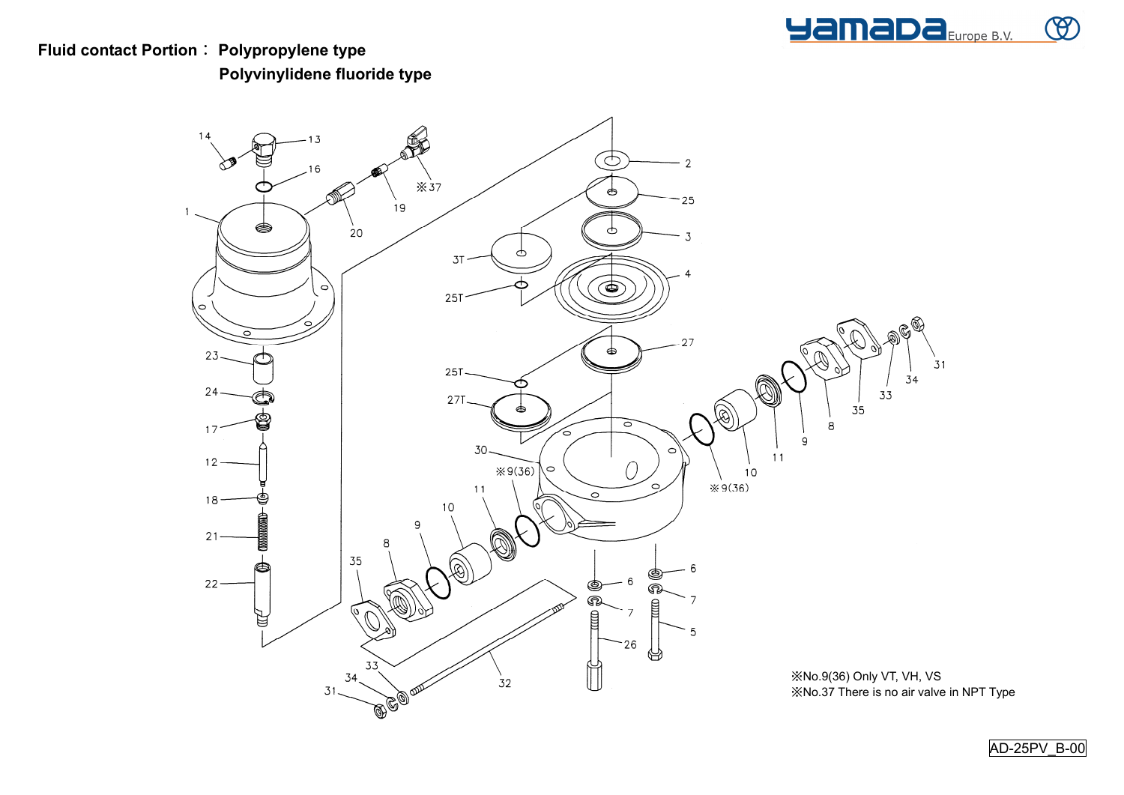

## **Fluid contact Portion**: **Polypropylene type Polyvinylidene fluoride type**